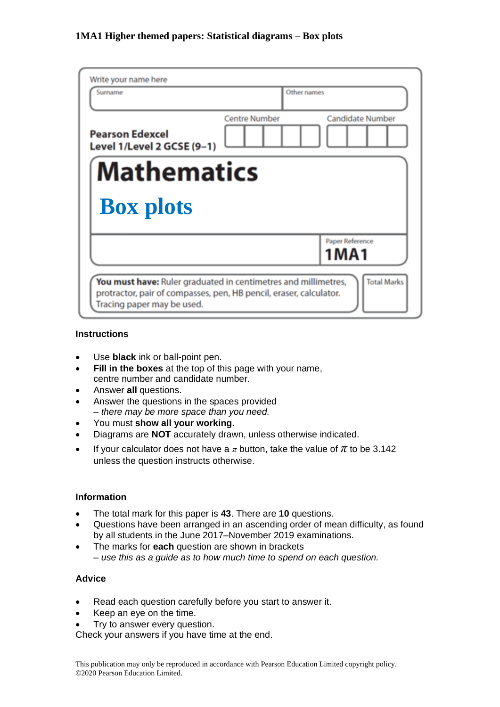| Write your name here                                           |                                                 |
|----------------------------------------------------------------|-------------------------------------------------|
| Surname                                                        | Other names                                     |
| <b>Pearson Edexcel</b><br>Level 1/Level 2 GCSE (9-1)           | <b>Candidate Number</b><br><b>Centre Number</b> |
| <b>Mathematics</b>                                             |                                                 |
| <b>Box plots</b>                                               |                                                 |
|                                                                | Paper Reference                                 |
|                                                                | 1MA1                                            |
| You must have: Ruler graduated in centimetres and millimetres, | <b>Total Marks</b>                              |

### **Instructions**

- Use **black** ink or ball-point pen.
- **Fill in the boxes** at the top of this page with your name, centre number and candidate number.
- Answer **all** questions.
- Answer the questions in the spaces provided *– there may be more space than you need.*
- You must **show all your working.**
- Diagrams are **NOT** accurately drawn, unless otherwise indicated.
- If your calculator does not have a  $\pi$  button, take the value of  $\pi$  to be 3.142 unless the question instructs otherwise.

### **Information**

- The total mark for this paper is **43**. There are **10** questions.
- Questions have been arranged in an ascending order of mean difficulty, as found by all students in the June 2017–November 2019 examinations.
- The marks for **each** question are shown in brackets *– use this as a guide as to how much time to spend on each question.*

### **Advice**

- Read each question carefully before you start to answer it.
- Keep an eye on the time.
- Try to answer every question.

Check your answers if you have time at the end.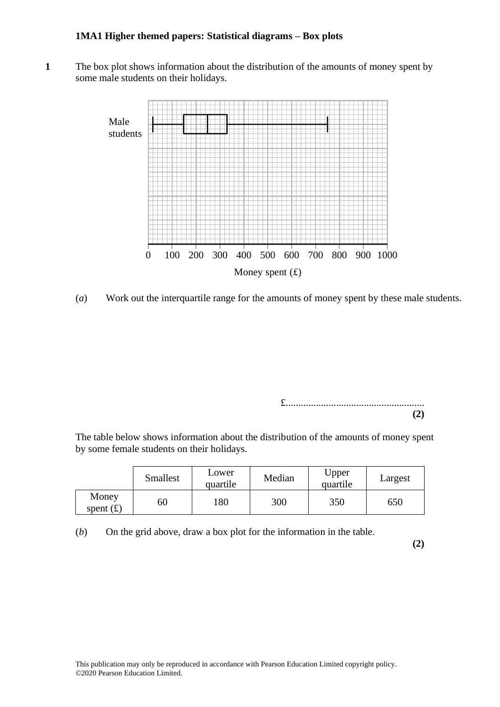**1** The box plot shows information about the distribution of the amounts of money spent by some male students on their holidays. some male students on their holidays.



(*a*) Work out the interquartile range for the amounts of money spent by these male students.

£....................................................... **(2)**

The table below shows information about the distribution of the amounts of money spent by some female students on their holidays.  $T_{\text{S}}$  some remain statements on them homotopy spent  $T_{\text{S}}$ 

|                      | <b>Smallest</b> | Lower<br>quartile | Median | Upper<br>quartile | Largest |
|----------------------|-----------------|-------------------|--------|-------------------|---------|
| Money<br>spent $(f)$ | 60              | 180               | 300    | 350               | 650     |

 $(b)$  On the grid above, draw a box plot for the information in the table.

**(2)**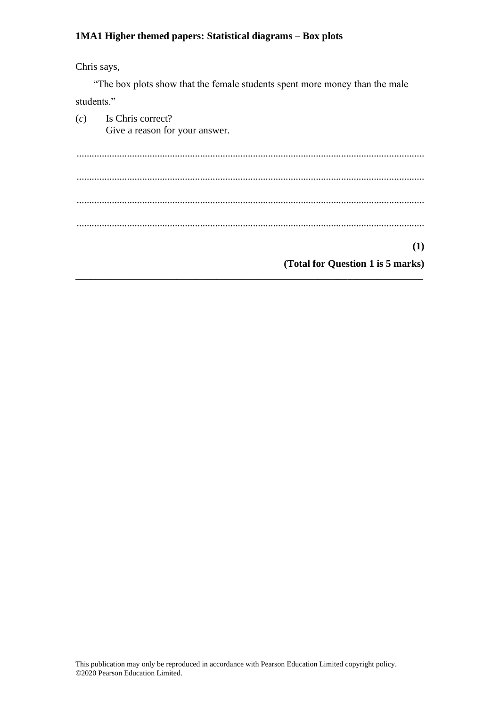Chris says,

"The box plots show that the female students spent more money than the male students."

(*c*) Is Chris correct? Give a reason for your answer. .......................................................................................................................................... .......................................................................................................................................... .......................................................................................................................................... .......................................................................................................................................... **(1) (Total for Question 1 is 5 marks) \_\_\_\_\_\_\_\_\_\_\_\_\_\_\_\_\_\_\_\_\_\_\_\_\_\_\_\_\_\_\_\_\_\_\_\_\_\_\_\_\_\_\_\_\_\_\_\_\_\_\_\_\_\_\_\_\_\_\_\_\_\_\_\_\_\_\_\_\_**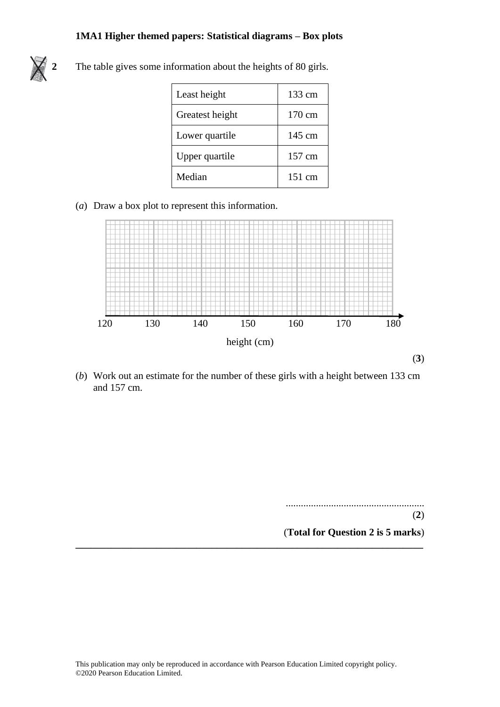

**2** The table gives some information about the heights of 80 girls.

| Least height    | 133 cm           |
|-----------------|------------------|
| Greatest height | 170 cm           |
| Lower quartile  | 145 cm           |
| Upper quartile  | 157 cm           |
| Median          | $151 \text{ cm}$ |

(*a*) Draw a box plot to represent this information. (a) Draw <sup>a</sup> box plot to represen<sup>t</sup> this information.



(b) Work out an estimate for the number of these girls with a height between  $133 \text{ cm}$ and 157 cm. 157 cm.

**\_\_\_\_\_\_\_\_\_\_\_\_\_\_\_\_\_\_\_\_\_\_\_\_\_\_\_\_\_\_\_\_\_\_\_\_\_\_\_\_\_\_\_\_\_\_\_\_\_\_\_\_\_\_\_\_\_\_\_\_\_\_\_\_\_\_\_\_\_**

....................................................... ....................................................... (**2**) **(2)** (**Total for Question 2 is 5 marks**) **(Total for Question 10 is 5 marks)**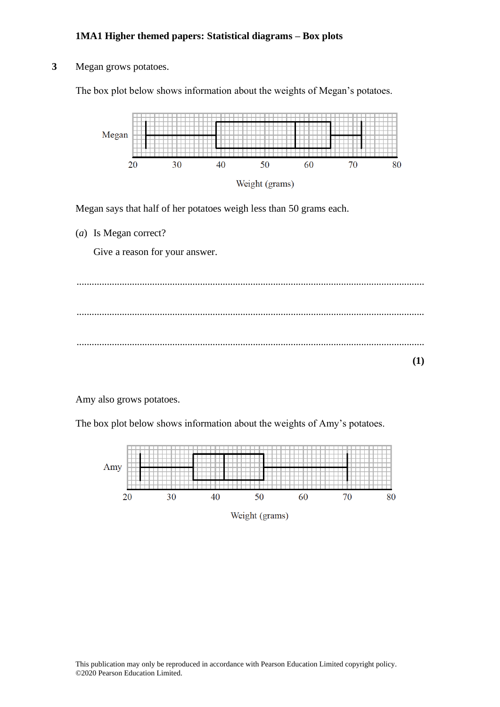### **3** Megan grows potatoes.

The box plot below shows information about the weights of Megan's potatoes.



Megan says that half of her potatoes weigh less than 50 grams each.

(*a*) Is Megan correct?

Give a reason for your answer.

.......................................................................................................................................... .......................................................................................................................................... .......................................................................................................................................... **(1)**

Amy also grows potatoes.

The box plot below shows information about the weights of Amy's potatoes.

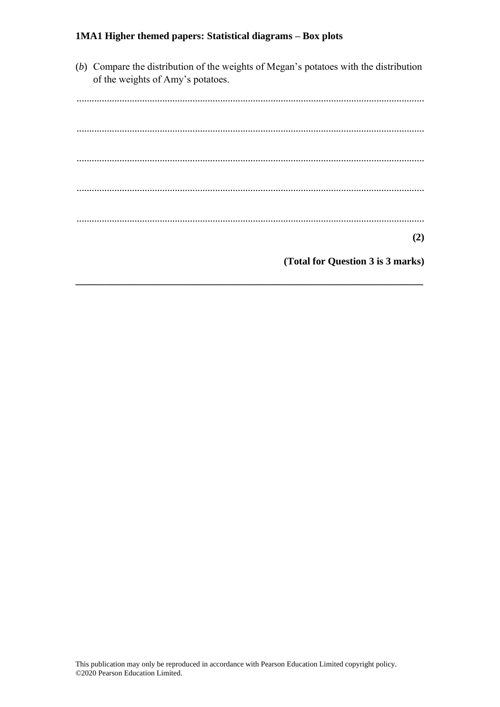(b) Compare the distribution of the weights of Megan's potatoes with the distribution of the weights of Amy's potatoes.

 $(2)$ 

(Total for Question 3 is 3 marks)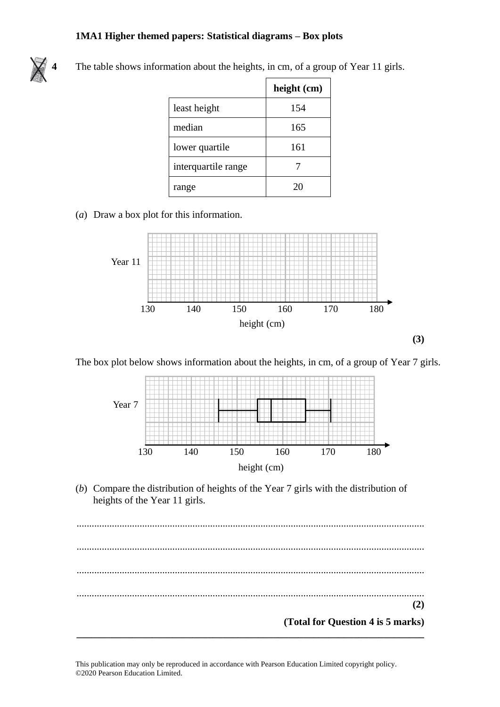

**4** The table shows information about the heights, in cm, of a group of Year 11 girls.

|                     | height (cm) |
|---------------------|-------------|
| least height        | 154         |
| median              | 165         |
| lower quartile      | 161         |
| interquartile range |             |
| range               |             |

# (*a*) Draw a box plot for this information. (a) Draw <sup>a</sup> box plot for this information. (a) Draw <sup>a</sup> box plot for this information.



The box plot below shows information about the heights, in cm, of a group of Year 7 girls.



(b) Compare the distribution of heights of the Year 7 girls with the distribution of heights of the Year 11 girls. of the Year 11 girls. of the Year 11 girls.

.......................................................................................................................................... .......................................................................................................................................... .................................................................................................................................................................................................................................................. .......................................................................................................................................... .................................................................................................................................................................................................................................................. .......................................................................................................................................... .................................................................................................................................................................................................................................................. **(2) (2) (Total for Question 4 is 5 marks) (Total for Question 12 is 5 marks) (Total for Question 12 is 5 marks)\_\_\_\_\_\_\_\_\_\_\_\_\_\_\_\_\_\_\_\_\_\_\_\_\_\_\_\_\_\_\_\_\_\_\_\_\_\_\_\_\_\_\_\_\_\_\_\_\_\_\_\_\_\_\_\_\_\_\_\_\_\_\_\_\_\_\_\_\_ <sup>11</sup> (2)**

This publication may only be reproduced in accordance with Pearson Education Limited copyright policy. ©2020 Pearson Education Limited.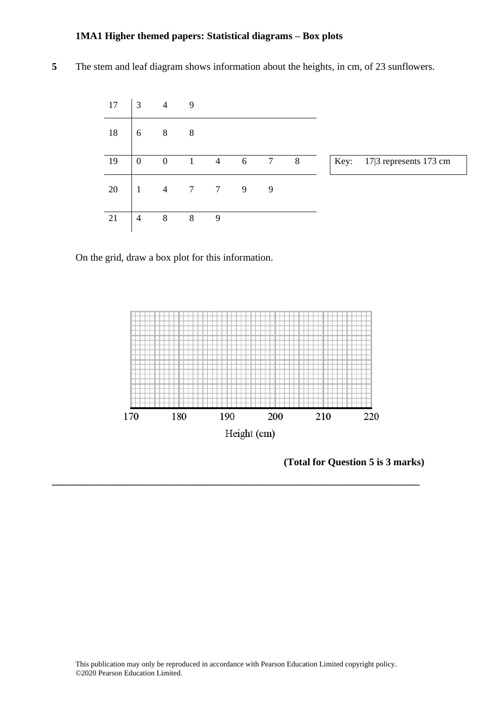**5** The stem and leaf diagram shows information about the heights, in cm, of 23 sunflowers.



On the grid, draw a box plot for this information.



**(Total for Question 5 is 3 marks)**

**\_\_\_\_\_\_\_\_\_\_\_\_\_\_\_\_\_\_\_\_\_\_\_\_\_\_\_\_\_\_\_\_\_\_\_\_\_\_\_\_\_\_\_\_\_\_\_\_\_\_\_\_\_\_\_\_\_\_\_\_\_\_\_\_\_\_\_\_\_\_\_\_\_**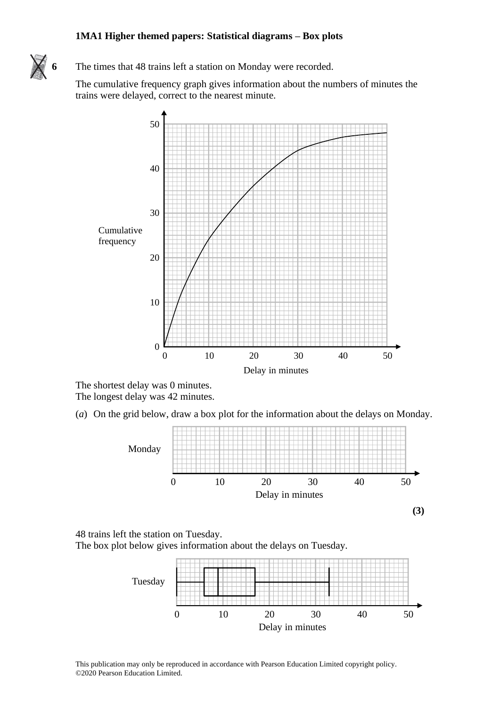#### **1MA1 Higher themed papers: Statistical diagrams – Box plots** 1914 The times the time papers, statistical diagrams – box pr



6 The times that 48 trains left a station on Monday were recorded. the units that 40 trains felt a station on monday

The cumulative frequency graph gives information about the numbers of minutes the The cumulative frequency graph gives information about the numbers of minutes the trains were delayed, correct to the nearest minute. trains were delayed, correct to the nearest minute. 50



The shortest delay was 0 minutes. The longest delay was 42 minutes.  $T_{\text{max}}$  dength delay was  $42$  minutes. The shortest delay was  $\theta$  minutes. The longest delay was 42 minutes.

(*a*) On the grid below, draw a box plot for the information about the delays on Monday. (a) On the grid below, draw <sup>a</sup> box plot for the information about the delays on Monday. ( $a)$ ) On the grid below, draw a box plot for the information about the delays on Monda



48 trains left the station on Tuesday. The box plot below gives information about the delays on Tuesday. The box plot below gives information about the delays on Tuesday. The box plot below gives information about the delays on Tuesday.



This publication may only be reproduced in accordance with Pearson Education Limited copyright policy. ©2020 Pearson Education Limited.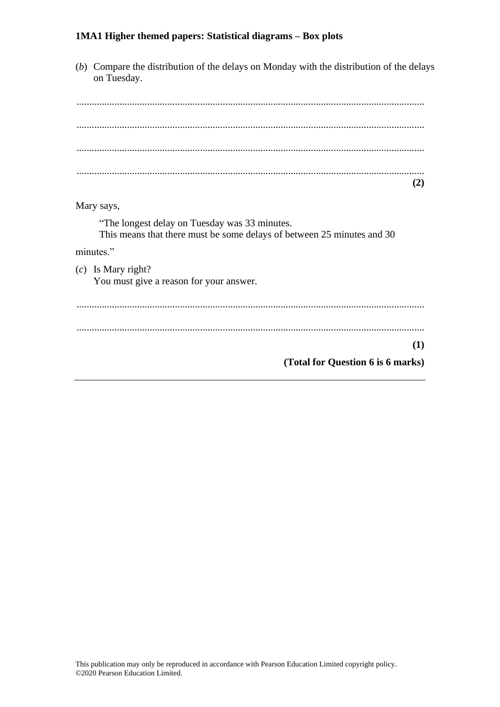(*b*) Compare the distribution of the delays on Monday with the distribution of the delays on Tuesday. .......................................................................................................................................... .......................................................................................................................................... .......................................................................................................................................... .......................................................................................................................................... **(2)** Mary says, "The longest delay on Tuesday was 33 minutes. This means that there must be some delays of between 25 minutes and 30 minutes." (*c*) Is Mary right? You must give a reason for your answer. .......................................................................................................................................... .......................................................................................................................................... **(1) (Total for Question 6 is 6 marks)**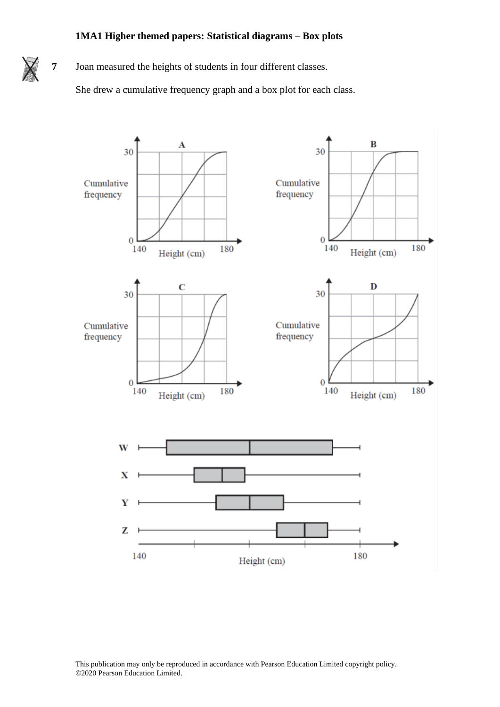**7** Joan measured the heights of students in four different classes.

She drew a cumulative frequency graph and a box plot for each class.



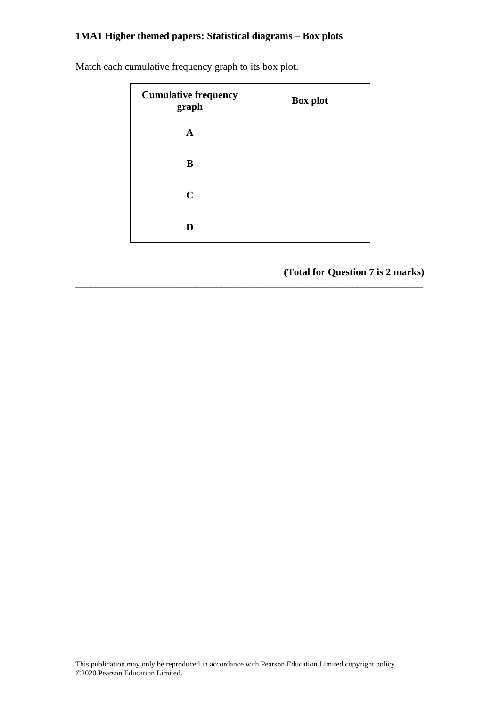| <b>Cumulative frequency</b><br>graph | <b>Box plot</b> |
|--------------------------------------|-----------------|
| A                                    |                 |
| B                                    |                 |
| $\mathbf C$                          |                 |
| D                                    |                 |

**\_\_\_\_\_\_\_\_\_\_\_\_\_\_\_\_\_\_\_\_\_\_\_\_\_\_\_\_\_\_\_\_\_\_\_\_\_\_\_\_\_\_\_\_\_\_\_\_\_\_\_\_\_\_\_\_\_\_\_\_\_\_\_\_\_\_\_\_\_**

Match each cumulative frequency graph to its box plot.

**(Total for Question 7 is 2 marks)**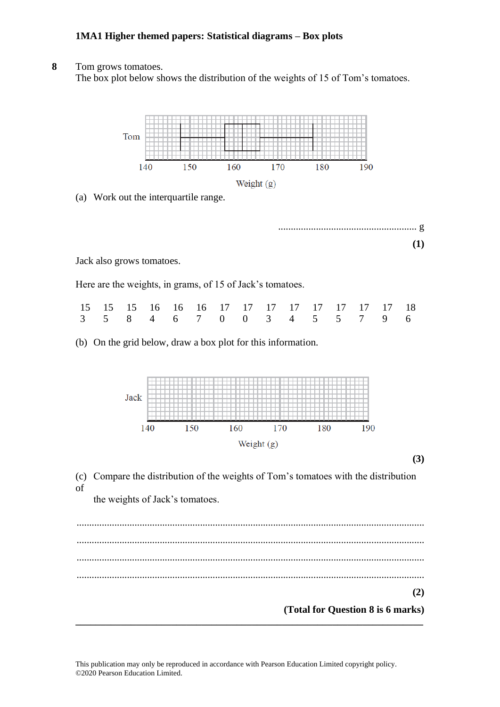### **8** Tom grows tomatoes.

The box plot below shows the distribution of the weights of 15 of Tom's tomatoes.

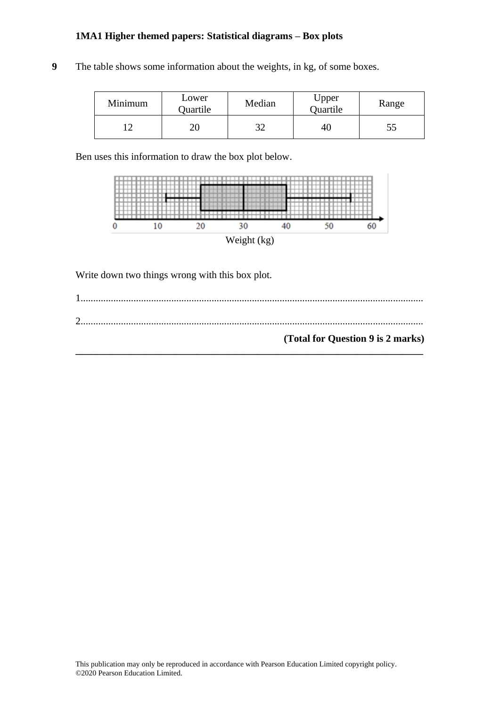**9** The table shows some information about the weights, in kg, of some boxes.

| Minimum | Lower<br>Quartile | Median | Upper<br>Quartile | Range |
|---------|-------------------|--------|-------------------|-------|
|         |                   |        | 46                | СC    |

Ben uses this information to draw the box plot below.



Write down two things wrong with this box plot.

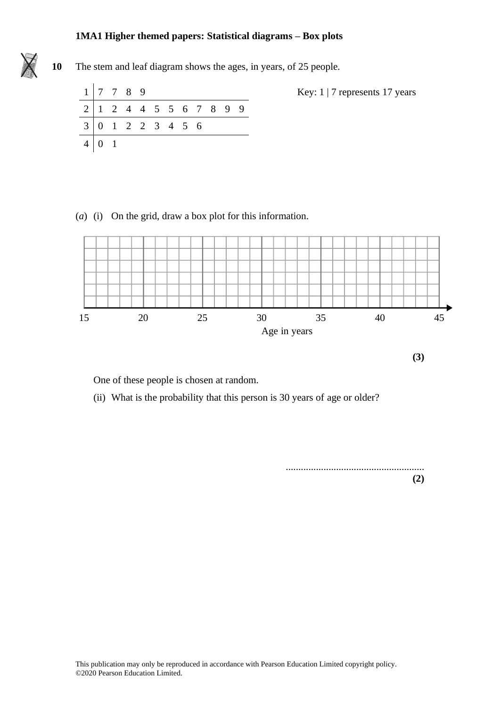#### **1MA1 Higher themed papers: Statistical diagrams – Box plots 9** The stem and leaf diagram shows the ages, in years, of 25 percent ages, in years, of 25 percent ages, in years, of 25 percent ages, in years, of 25 percent ages, in years, of 25 percent ages, in years, of 25 percent ag



**10** The stem and leaf diagram shows the ages, in years, of 25 people.

| $1 \mid 7 \mid 7 \mid 8 \mid 9$ |  |  |  |  |  |
|---------------------------------|--|--|--|--|--|
| 2 1 2 4 4 5 5 6 7 8 9 9         |  |  |  |  |  |
| 3 0 1 2 2 3 4 5 6               |  |  |  |  |  |
|                                 |  |  |  |  |  |

(*a*) (i) On the grid, draw a box plot for this information. (a) (i) On the grid, draw a box plot for this information.



**(3)**

One of these people is chosen at random.  $\sum_{i=1}^{n}$  what is the probability that the probability that the person is 30 years of age or older?

(ii) What is the probability that this person is 30 years of age or older?

....................................................... **(2)**